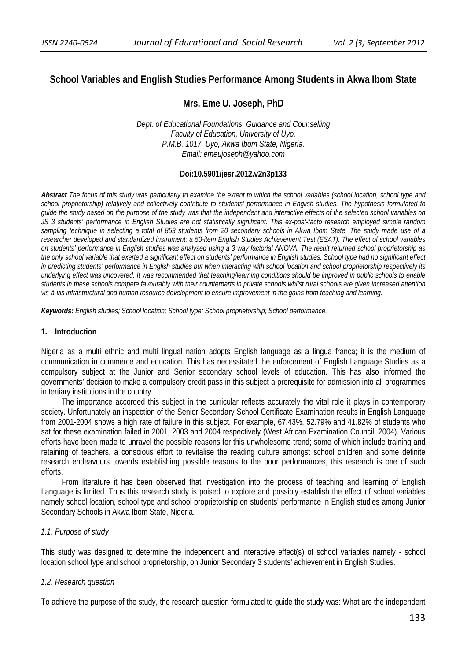# **School Variables and English Studies Performance Among Students in Akwa Ibom State**

## **Mrs. Eme U. Joseph, PhD**

*Dept. of Educational Foundations, Guidance and Counselling Faculty of Education, University of Uyo, P.M.B. 1017, Uyo, Akwa Ibom State, Nigeria. Email: emeujoseph@yahoo.com* 

### **Doi:10.5901/jesr.2012.v2n3p133**

*Abstract The focus of this study was particularly to examine the extent to which the school variables (school location, school type and school proprietorship) relatively and collectively contribute to students' performance in English studies. The hypothesis formulated to guide the study based on the purpose of the study was that the independent and interactive effects of the selected school variables on JS 3 students' performance in English Studies are not statistically significant. This ex-post-facto research employed simple random sampling technique in selecting a total of 853 students from 20 secondary schools in Akwa Ibom State. The study made use of a researcher developed and standardized instrument: a 50-item English Studies Achievement Test (ESAT). The effect of school variables on students' performance in English studies was analysed using a 3 way factorial ANOVA. The result returned school proprietorship as the only school variable that exerted a significant effect on students' performance in English studies. School type had no significant effect in predicting students' performance in English studies but when interacting with school location and school proprietorship respectively its underlying effect was uncovered. It was recommended that teaching/learning conditions should be improved in public schools to enable students in these schools compete favourably with their counterparts in private schools whilst rural schools are given increased attention vis-à-vis infrastructural and human resource development to ensure improvement in the gains from teaching and learning.* 

*Keywords: English studies; School location; School type; School proprietorship; School performance.*

### **1. Introduction**

Nigeria as a multi ethnic and multi lingual nation adopts English language as a lingua franca; it is the medium of communication in commerce and education. This has necessitated the enforcement of English Language Studies as a compulsory subject at the Junior and Senior secondary school levels of education. This has also informed the governments' decision to make a compulsory credit pass in this subject a prerequisite for admission into all programmes in tertiary institutions in the country.

The importance accorded this subject in the curricular reflects accurately the vital role it plays in contemporary society. Unfortunately an inspection of the Senior Secondary School Certificate Examination results in English Language from 2001-2004 shows a high rate of failure in this subject. For example, 67.43%, 52.79% and 41.82% of students who sat for these examination failed in 2001, 2003 and 2004 respectively (West African Examination Council, 2004). Various efforts have been made to unravel the possible reasons for this unwholesome trend; some of which include training and retaining of teachers, a conscious effort to revitalise the reading culture amongst school children and some definite research endeavours towards establishing possible reasons to the poor performances, this research is one of such efforts.

From literature it has been observed that investigation into the process of teaching and learning of English Language is limited. Thus this research study is poised to explore and possibly establish the effect of school variables namely school location, school type and school proprietorship on students' performance in English studies among Junior Secondary Schools in Akwa Ibom State, Nigeria.

### *1.1. Purpose of study*

This study was designed to determine the independent and interactive effect(s) of school variables namely - school location school type and school proprietorship, on Junior Secondary 3 students' achievement in English Studies.

### *1.2. Research question*

To achieve the purpose of the study, the research question formulated to guide the study was: What are the independent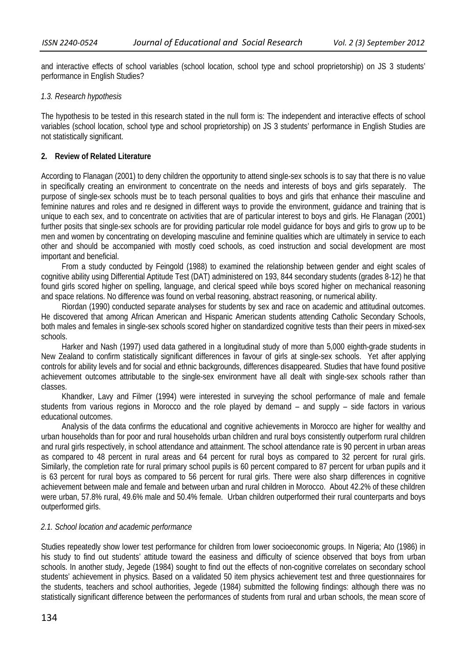and interactive effects of school variables (school location, school type and school proprietorship) on JS 3 students' performance in English Studies?

#### *1.3. Research hypothesis*

The hypothesis to be tested in this research stated in the null form is: The independent and interactive effects of school variables (school location, school type and school proprietorship) on JS 3 students' performance in English Studies are not statistically significant.

#### **2. Review of Related Literature**

According to Flanagan (2001) to deny children the opportunity to attend single-sex schools is to say that there is no value in specifically creating an environment to concentrate on the needs and interests of boys and girls separately. The purpose of single-sex schools must be to teach personal qualities to boys and girls that enhance their masculine and feminine natures and roles and re designed in different ways to provide the environment, guidance and training that is unique to each sex, and to concentrate on activities that are of particular interest to boys and girls. He Flanagan (2001) further posits that single-sex schools are for providing particular role model guidance for boys and girls to grow up to be men and women by concentrating on developing masculine and feminine qualities which are ultimately in service to each other and should be accompanied with mostly coed schools, as coed instruction and social development are most important and beneficial.

From a study conducted by Feingold (1988) to examined the relationship between gender and eight scales of cognitive ability using Differential Aptitude Test (DAT) administered on 193, 844 secondary students (grades 8-12) he that found girls scored higher on spelling, language, and clerical speed while boys scored higher on mechanical reasoning and space relations. No difference was found on verbal reasoning, abstract reasoning, or numerical ability.

Riordan (1990) conducted separate analyses for students by sex and race on academic and attitudinal outcomes. He discovered that among African American and Hispanic American students attending Catholic Secondary Schools, both males and females in single-sex schools scored higher on standardized cognitive tests than their peers in mixed-sex schools.

Harker and Nash (1997) used data gathered in a longitudinal study of more than 5,000 eighth-grade students in New Zealand to confirm statistically significant differences in favour of girls at single-sex schools. Yet after applying controls for ability levels and for social and ethnic backgrounds, differences disappeared. Studies that have found positive achievement outcomes attributable to the single-sex environment have all dealt with single-sex schools rather than classes.

Khandker, Lavy and Filmer (1994) were interested in surveying the school performance of male and female students from various regions in Morocco and the role played by demand – and supply – side factors in various educational outcomes.

Analysis of the data confirms the educational and cognitive achievements in Morocco are higher for wealthy and urban households than for poor and rural households urban children and rural boys consistently outperform rural children and rural girls respectively, in school attendance and attainment. The school attendance rate is 90 percent in urban areas as compared to 48 percent in rural areas and 64 percent for rural boys as compared to 32 percent for rural girls. Similarly, the completion rate for rural primary school pupils is 60 percent compared to 87 percent for urban pupils and it is 63 percent for rural boys as compared to 56 percent for rural girls. There were also sharp differences in cognitive achievement between male and female and between urban and rural children in Morocco. About 42.2% of these children were urban, 57.8% rural, 49.6% male and 50.4% female. Urban children outperformed their rural counterparts and boys outperformed girls.

#### *2.1. School location and academic performance*

Studies repeatedly show lower test performance for children from lower socioeconomic groups. In Nigeria; Ato (1986) in his study to find out students' attitude toward the easiness and difficulty of science observed that boys from urban schools. In another study, Jegede (1984) sought to find out the effects of non-cognitive correlates on secondary school students' achievement in physics. Based on a validated 50 item physics achievement test and three questionnaires for the students, teachers and school authorities, Jegede (1984) submitted the following findings: although there was no statistically significant difference between the performances of students from rural and urban schools, the mean score of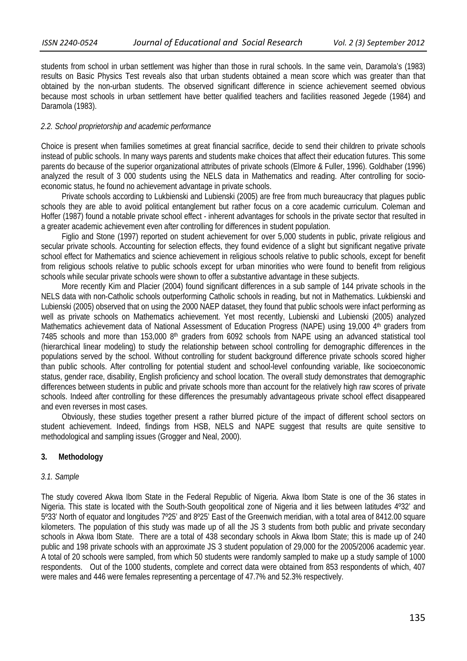students from school in urban settlement was higher than those in rural schools. In the same vein, Daramola's (1983) results on Basic Physics Test reveals also that urban students obtained a mean score which was greater than that obtained by the non-urban students. The observed significant difference in science achievement seemed obvious because most schools in urban settlement have better qualified teachers and facilities reasoned Jegede (1984) and Daramola (1983).

### *2.2. School proprietorship and academic performance*

Choice is present when families sometimes at great financial sacrifice, decide to send their children to private schools instead of public schools. In many ways parents and students make choices that affect their education futures. This some parents do because of the superior organizational attributes of private schools (Elmore & Fuller, 1996). Goldhaber (1996) analyzed the result of 3 000 students using the NELS data in Mathematics and reading. After controlling for socioeconomic status, he found no achievement advantage in private schools.

Private schools according to Lukbienski and Lubienski (2005) are free from much bureaucracy that plagues public schools they are able to avoid political entanglement but rather focus on a core academic curriculum. Coleman and Hoffer (1987) found a notable private school effect - inherent advantages for schools in the private sector that resulted in a greater academic achievement even after controlling for differences in student population.

Figlio and Stone (1997) reported on student achievement for over 5,000 students in public, private religious and secular private schools. Accounting for selection effects, they found evidence of a slight but significant negative private school effect for Mathematics and science achievement in religious schools relative to public schools, except for benefit from religious schools relative to public schools except for urban minorities who were found to benefit from religious schools while secular private schools were shown to offer a substantive advantage in these subjects.

More recently Kim and Placier (2004) found significant differences in a sub sample of 144 private schools in the NELS data with non-Catholic schools outperforming Catholic schools in reading, but not in Mathematics. Lukbienski and Lubienski (2005) observed that on using the 2000 NAEP dataset, they found that public schools were infact performing as well as private schools on Mathematics achievement. Yet most recently, Lubienski and Lubienski (2005) analyzed Mathematics achievement data of National Assessment of Education Progress (NAPE) using 19,000 4<sup>th</sup> graders from 7485 schools and more than 153,000  $8<sup>th</sup>$  graders from 6092 schools from NAPE using an advanced statistical tool (hierarchical linear modeling) to study the relationship between school controlling for demographic differences in the populations served by the school. Without controlling for student background difference private schools scored higher than public schools. After controlling for potential student and school-level confounding variable, like socioeconomic status, gender race, disability, English proficiency and school location. The overall study demonstrates that demographic differences between students in public and private schools more than account for the relatively high raw scores of private schools. Indeed after controlling for these differences the presumably advantageous private school effect disappeared and even reverses in most cases.

Obviously, these studies together present a rather blurred picture of the impact of different school sectors on student achievement. Indeed, findings from HSB, NELS and NAPE suggest that results are quite sensitive to methodological and sampling issues (Grogger and Neal, 2000).

### **3. Methodology**

### *3.1. Sample*

The study covered Akwa Ibom State in the Federal Republic of Nigeria. Akwa Ibom State is one of the 36 states in Nigeria. This state is located with the South-South geopolitical zone of Nigeria and it lies between latitudes 4º32' and 5º33' North of equator and longitudes 7º25' and 8º25' East of the Greenwich meridian, with a total area of 8412.00 square kilometers. The population of this study was made up of all the JS 3 students from both public and private secondary schools in Akwa Ibom State. There are a total of 438 secondary schools in Akwa Ibom State; this is made up of 240 public and 198 private schools with an approximate JS 3 student population of 29,000 for the 2005/2006 academic year. A total of 20 schools were sampled, from which 50 students were randomly sampled to make up a study sample of 1000 respondents. Out of the 1000 students, complete and correct data were obtained from 853 respondents of which, 407 were males and 446 were females representing a percentage of 47.7% and 52.3% respectively.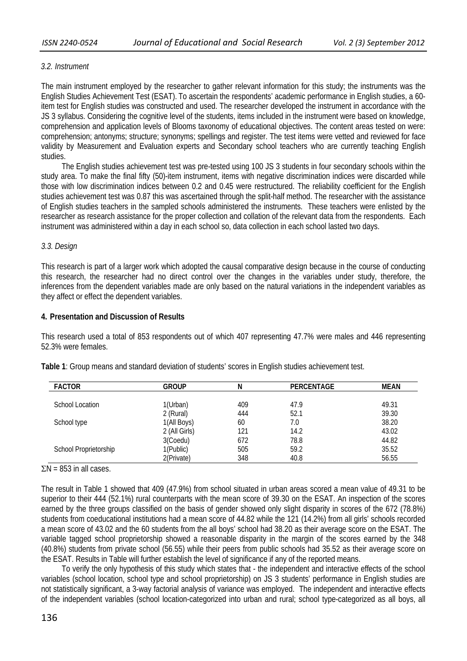### *3.2. Instrument*

The main instrument employed by the researcher to gather relevant information for this study; the instruments was the English Studies Achievement Test (ESAT). To ascertain the respondents' academic performance in English studies, a 60 item test for English studies was constructed and used. The researcher developed the instrument in accordance with the JS 3 syllabus. Considering the cognitive level of the students, items included in the instrument were based on knowledge, comprehension and application levels of Blooms taxonomy of educational objectives. The content areas tested on were: comprehension; antonyms; structure; synonyms; spellings and register. The test items were vetted and reviewed for face validity by Measurement and Evaluation experts and Secondary school teachers who are currently teaching English studies.

The English studies achievement test was pre-tested using 100 JS 3 students in four secondary schools within the study area. To make the final fifty (50)-item instrument, items with negative discrimination indices were discarded while those with low discrimination indices between 0.2 and 0.45 were restructured. The reliability coefficient for the English studies achievement test was 0.87 this was ascertained through the split-half method. The researcher with the assistance of English studies teachers in the sampled schools administered the instruments. These teachers were enlisted by the researcher as research assistance for the proper collection and collation of the relevant data from the respondents. Each instrument was administered within a day in each school so, data collection in each school lasted two days.

### *3.3. Design*

This research is part of a larger work which adopted the causal comparative design because in the course of conducting this research, the researcher had no direct control over the changes in the variables under study, therefore, the inferences from the dependent variables made are only based on the natural variations in the independent variables as they affect or effect the dependent variables.

### **4. Presentation and Discussion of Results**

This research used a total of 853 respondents out of which 407 representing 47.7% were males and 446 representing 52.3% were females.

| <b>FACTOR</b>         | <b>GROUP</b>  | N   | <b>PERCENTAGE</b> | MEAN  |
|-----------------------|---------------|-----|-------------------|-------|
|                       |               |     |                   |       |
| School Location       | 1(Urban)      | 409 | 47.9              | 49.31 |
|                       | 2 (Rural)     | 444 | 52.1              | 39.30 |
| School type           | 1(All Boys)   | 60  | 7.0               | 38.20 |
|                       | 2 (All Girls) | 121 | 14.2              | 43.02 |
|                       | 3(Coedu)      | 672 | 78.8              | 44.82 |
| School Proprietorship | 1(Public)     | 505 | 59.2              | 35.52 |
|                       | 2(Private)    | 348 | 40.8              | 56.55 |

**Table 1**: Group means and standard deviation of students' scores in English studies achievement test.

 $\Sigma$ N = 853 in all cases.

The result in Table 1 showed that 409 (47.9%) from school situated in urban areas scored a mean value of 49.31 to be superior to their 444 (52.1%) rural counterparts with the mean score of 39.30 on the ESAT. An inspection of the scores earned by the three groups classified on the basis of gender showed only slight disparity in scores of the 672 (78.8%) students from coeducational institutions had a mean score of 44.82 while the 121 (14.2%) from all girls' schools recorded a mean score of 43.02 and the 60 students from the all boys' school had 38.20 as their average score on the ESAT. The variable tagged school proprietorship showed a reasonable disparity in the margin of the scores earned by the 348 (40.8%) students from private school (56.55) while their peers from public schools had 35.52 as their average score on the ESAT. Results in Table will further establish the level of significance if any of the reported means.

To verify the only hypothesis of this study which states that - the independent and interactive effects of the school variables (school location, school type and school proprietorship) on JS 3 students' performance in English studies are not statistically significant, a 3-way factorial analysis of variance was employed. The independent and interactive effects of the independent variables (school location-categorized into urban and rural; school type-categorized as all boys, all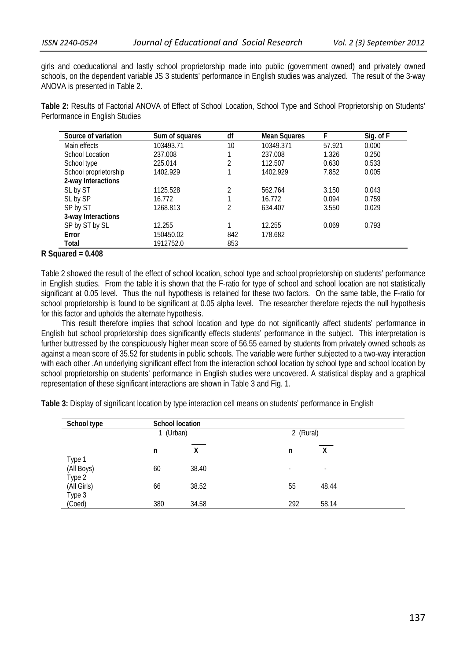girls and coeducational and lastly school proprietorship made into public (government owned) and privately owned schools, on the dependent variable JS 3 students' performance in English studies was analyzed. The result of the 3-way ANOVA is presented in Table 2.

**Table 2:** Results of Factorial ANOVA of Effect of School Location, School Type and School Proprietorship on Students' Performance in English Studies

| Source of variation   | Sum of squares | df  | <b>Mean Squares</b> | F      | Sig. of F |
|-----------------------|----------------|-----|---------------------|--------|-----------|
| Main effects          | 103493.71      | 10  | 10349.371           | 57.921 | 0.000     |
| School Location       | 237.008        |     | 237.008             | 1.326  | 0.250     |
| School type           | 225.014        | 2   | 112.507             | 0.630  | 0.533     |
| School proprietorship | 1402.929       |     | 1402.929            | 7.852  | 0.005     |
| 2-way Interactions    |                |     |                     |        |           |
| SL by ST              | 1125.528       | າ   | 562.764             | 3.150  | 0.043     |
| SL by SP              | 16.772         |     | 16.772              | 0.094  | 0.759     |
| SP by ST              | 1268.813       | 2   | 634.407             | 3.550  | 0.029     |
| 3-way Interactions    |                |     |                     |        |           |
| SP by ST by SL        | 12.255         |     | 12.255              | 0.069  | 0.793     |
| Error                 | 150450.02      | 842 | 178.682             |        |           |
| Total                 | 1912752.0      | 853 |                     |        |           |

### **R Squared = 0.408**

Table 2 showed the result of the effect of school location, school type and school proprietorship on students' performance in English studies. From the table it is shown that the F-ratio for type of school and school location are not statistically significant at 0.05 level. Thus the null hypothesis is retained for these two factors. On the same table, the F-ratio for school proprietorship is found to be significant at 0.05 alpha level. The researcher therefore rejects the null hypothesis for this factor and upholds the alternate hypothesis.

This result therefore implies that school location and type do not significantly affect students' performance in English but school proprietorship does significantly effects students' performance in the subject. This interpretation is further buttressed by the conspicuously higher mean score of 56.55 earned by students from privately owned schools as against a mean score of 35.52 for students in public schools. The variable were further subjected to a two-way interaction with each other .An underlying significant effect from the interaction school location by school type and school location by school proprietorship on students' performance in English studies were uncovered. A statistical display and a graphical representation of these significant interactions are shown in Table 3 and Fig. 1.

**Table 3:** Display of significant location by type interaction cell means on students' performance in English

| School type |         | <b>School location</b> |                          |                          |  |  |
|-------------|---------|------------------------|--------------------------|--------------------------|--|--|
|             | (Urban) |                        | 2 (Rural)                |                          |  |  |
|             | n       | x                      | n                        | X                        |  |  |
| Type 1      |         |                        |                          |                          |  |  |
| (All Boys)  | 60      | 38.40                  | $\overline{\phantom{a}}$ | $\overline{\phantom{a}}$ |  |  |
| Type 2      |         |                        |                          |                          |  |  |
| (All Girls) | 66      | 38.52                  | 55                       | 48.44                    |  |  |
| Type 3      |         |                        |                          |                          |  |  |
| (Coed)      | 380     | 34.58                  | 292                      | 58.14                    |  |  |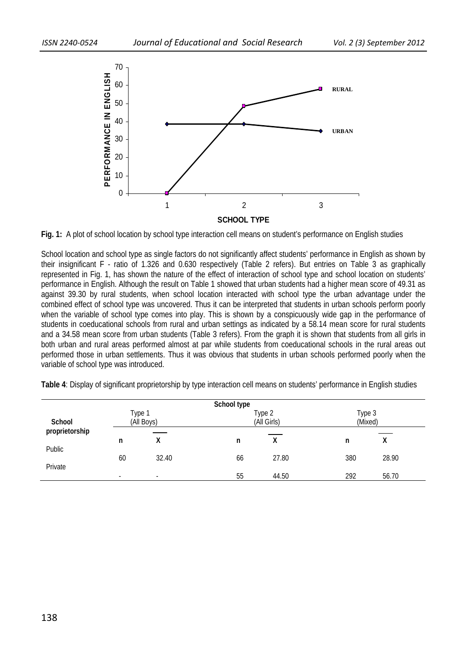

**Fig. 1:** A plot of school location by school type interaction cell means on student's performance on English studies

School location and school type as single factors do not significantly affect students' performance in English as shown by their insignificant F - ratio of 1.326 and 0.630 respectively (Table 2 refers). But entries on Table 3 as graphically represented in Fig. 1, has shown the nature of the effect of interaction of school type and school location on students' performance in English. Although the result on Table 1 showed that urban students had a higher mean score of 49.31 as against 39.30 by rural students, when school location interacted with school type the urban advantage under the combined effect of school type was uncovered. Thus it can be interpreted that students in urban schools perform poorly when the variable of school type comes into play. This is shown by a conspicuously wide gap in the performance of students in coeducational schools from rural and urban settings as indicated by a 58.14 mean score for rural students and a 34.58 mean score from urban students (Table 3 refers). From the graph it is shown that students from all girls in both urban and rural areas performed almost at par while students from coeducational schools in the rural areas out performed those in urban settlements. Thus it was obvious that students in urban schools performed poorly when the variable of school type was introduced.

|                   |    |                          | School type |                       |     |                   |  |
|-------------------|----|--------------------------|-------------|-----------------------|-----|-------------------|--|
| School            |    | Type 1<br>(All Boys)     |             | Type 2<br>(All Girls) |     | Type 3<br>(Mixed) |  |
| proprietorship    |    |                          |             |                       |     |                   |  |
|                   | n  | v<br>∧                   | n           | Χ                     | n   | Λ                 |  |
| Public<br>Private | 60 | 32.40                    | 66          | 27.80                 | 380 | 28.90             |  |
|                   | -  | $\overline{\phantom{a}}$ | 55          | 44.50                 | 292 | 56.70             |  |

**Table 4**: Display of significant proprietorship by type interaction cell means on students' performance in English studies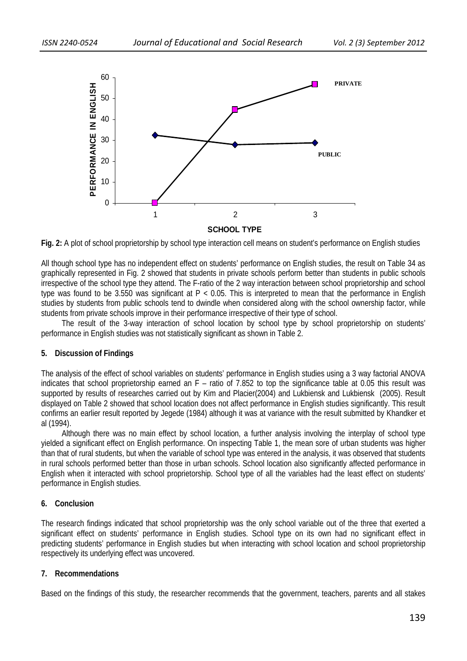

**Fig. 2:** A plot of school proprietorship by school type interaction cell means on student's performance on English studies

All though school type has no independent effect on students' performance on English studies, the result on Table 34 as graphically represented in Fig. 2 showed that students in private schools perform better than students in public schools irrespective of the school type they attend. The F-ratio of the 2 way interaction between school proprietorship and school type was found to be 3.550 was significant at  $P < 0.05$ . This is interpreted to mean that the performance in English studies by students from public schools tend to dwindle when considered along with the school ownership factor, while students from private schools improve in their performance irrespective of their type of school.

The result of the 3-way interaction of school location by school type by school proprietorship on students' performance in English studies was not statistically significant as shown in Table 2.

### **5. Discussion of Findings**

The analysis of the effect of school variables on students' performance in English studies using a 3 way factorial ANOVA indicates that school proprietorship earned an F – ratio of 7.852 to top the significance table at 0.05 this result was supported by results of researches carried out by Kim and Placier(2004) and Lukbiensk and Lukbiensk (2005). Result displayed on Table 2 showed that school location does not affect performance in English studies significantly. This result confirms an earlier result reported by Jegede (1984) although it was at variance with the result submitted by Khandker et al (1994).

Although there was no main effect by school location, a further analysis involving the interplay of school type yielded a significant effect on English performance. On inspecting Table 1, the mean sore of urban students was higher than that of rural students, but when the variable of school type was entered in the analysis, it was observed that students in rural schools performed better than those in urban schools. School location also significantly affected performance in English when it interacted with school proprietorship. School type of all the variables had the least effect on students' performance in English studies.

### **6. Conclusion**

The research findings indicated that school proprietorship was the only school variable out of the three that exerted a significant effect on students' performance in English studies. School type on its own had no significant effect in predicting students' performance in English studies but when interacting with school location and school proprietorship respectively its underlying effect was uncovered.

### **7. Recommendations**

Based on the findings of this study, the researcher recommends that the government, teachers, parents and all stakes